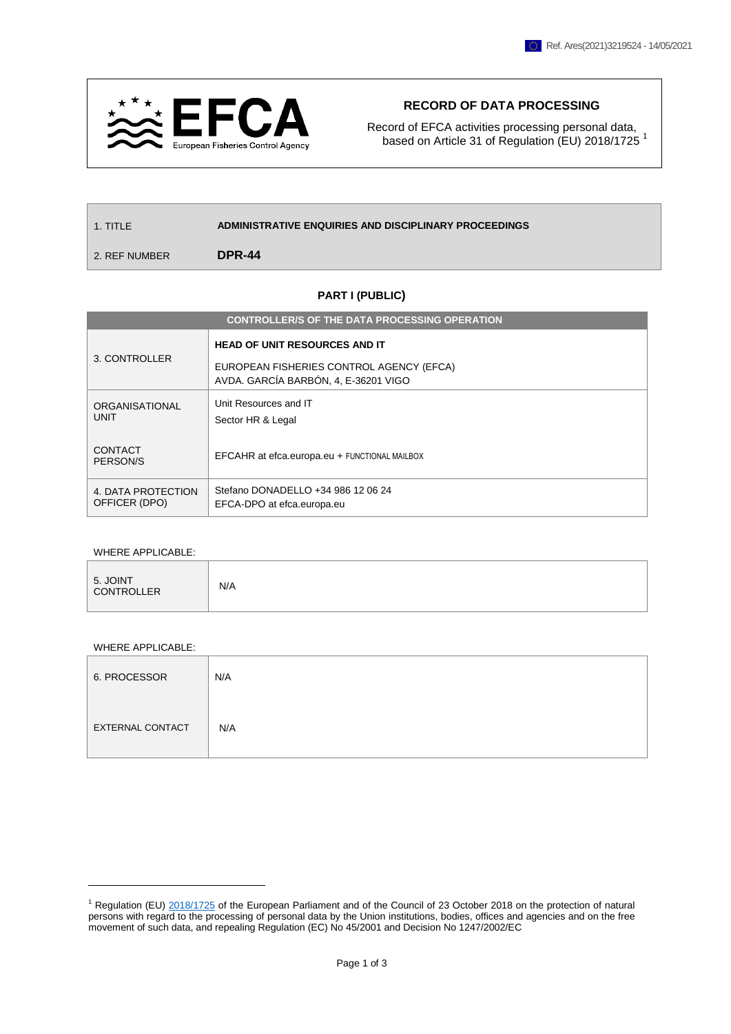

## **RECORD OF DATA PROCESSING**

Record of EFCA activities processing personal data, based on Article 31 of Regulation (EU) 2018/1725<sup>1</sup>

| 1. TITI F     | ADMINISTRATIVE ENQUIRIES AND DISCIPLINARY PROCEEDINGS |
|---------------|-------------------------------------------------------|
| 2. REF NUMBER | DPR-44                                                |

## **PART I (PUBLIC)**

| <b>CONTROLLER/S OF THE DATA PROCESSING OPERATION</b> |                                                                                                                          |  |
|------------------------------------------------------|--------------------------------------------------------------------------------------------------------------------------|--|
| 3. CONTROLLER                                        | <b>HEAD OF UNIT RESOURCES AND IT</b><br>EUROPEAN FISHERIES CONTROL AGENCY (EFCA)<br>AVDA. GARCÍA BARBÓN, 4, E-36201 VIGO |  |
| ORGANISATIONAL<br>UNIT                               | Unit Resources and IT<br>Sector HR & Legal                                                                               |  |
| CONTACT<br>PERSON/S                                  | EFCAHR at efca.europa.eu + FUNCTIONAL MAILBOX                                                                            |  |
| 4. DATA PROTECTION<br>OFFICER (DPO)                  | Stefano DONADELLO +34 986 12 06 24<br>EFCA-DPO at efca.europa.eu                                                         |  |

## WHERE APPLICABLE:

| 5. JOINT<br>CONTROLLER | N/A |
|------------------------|-----|
|------------------------|-----|

## WHERE APPLICABLE:

 $\overline{a}$ 

| 6. PROCESSOR            | N/A |
|-------------------------|-----|
| <b>EXTERNAL CONTACT</b> | N/A |

<sup>1</sup> Regulation (EU) [2018/1725](https://eur-lex.europa.eu/legal-content/EN/TXT/?uri=CELEX%3A32018R1725) of the European Parliament and of the Council of 23 October 2018 on the protection of natural persons with regard to the processing of personal data by the Union institutions, bodies, offices and agencies and on the free movement of such data, and repealing Regulation (EC) No 45/2001 and Decision No 1247/2002/EC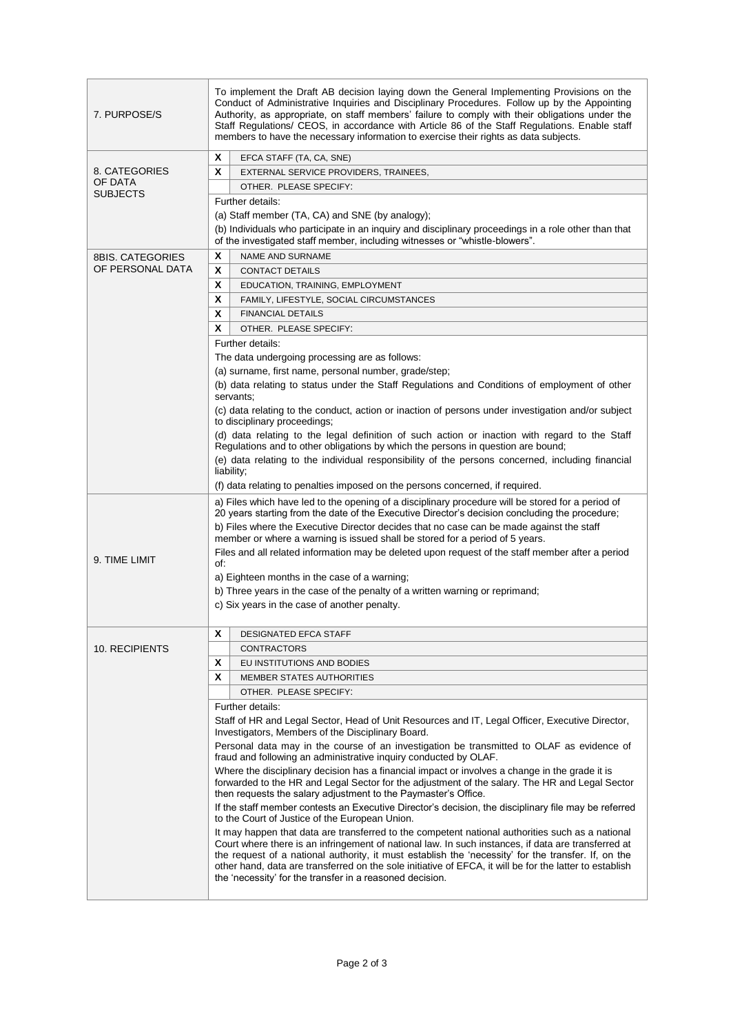| 7. PURPOSE/S               | To implement the Draft AB decision laying down the General Implementing Provisions on the<br>Conduct of Administrative Inquiries and Disciplinary Procedures. Follow up by the Appointing<br>Authority, as appropriate, on staff members' failure to comply with their obligations under the<br>Staff Regulations/ CEOS, in accordance with Article 86 of the Staff Regulations. Enable staff<br>members to have the necessary information to exercise their rights as data subjects. |  |  |
|----------------------------|---------------------------------------------------------------------------------------------------------------------------------------------------------------------------------------------------------------------------------------------------------------------------------------------------------------------------------------------------------------------------------------------------------------------------------------------------------------------------------------|--|--|
|                            | X<br>EFCA STAFF (TA, CA, SNE)                                                                                                                                                                                                                                                                                                                                                                                                                                                         |  |  |
| 8. CATEGORIES              | X<br>EXTERNAL SERVICE PROVIDERS, TRAINEES,                                                                                                                                                                                                                                                                                                                                                                                                                                            |  |  |
| OF DATA<br><b>SUBJECTS</b> | OTHER. PLEASE SPECIFY:                                                                                                                                                                                                                                                                                                                                                                                                                                                                |  |  |
|                            | Further details:                                                                                                                                                                                                                                                                                                                                                                                                                                                                      |  |  |
|                            | (a) Staff member (TA, CA) and SNE (by analogy);                                                                                                                                                                                                                                                                                                                                                                                                                                       |  |  |
|                            | (b) Individuals who participate in an inquiry and disciplinary proceedings in a role other than that                                                                                                                                                                                                                                                                                                                                                                                  |  |  |
|                            | of the investigated staff member, including witnesses or "whistle-blowers".                                                                                                                                                                                                                                                                                                                                                                                                           |  |  |
| <b>8BIS. CATEGORIES</b>    | X<br><b>NAME AND SURNAME</b>                                                                                                                                                                                                                                                                                                                                                                                                                                                          |  |  |
| OF PERSONAL DATA           | X<br><b>CONTACT DETAILS</b>                                                                                                                                                                                                                                                                                                                                                                                                                                                           |  |  |
|                            | X<br>EDUCATION, TRAINING, EMPLOYMENT                                                                                                                                                                                                                                                                                                                                                                                                                                                  |  |  |
|                            | X<br>FAMILY, LIFESTYLE, SOCIAL CIRCUMSTANCES                                                                                                                                                                                                                                                                                                                                                                                                                                          |  |  |
|                            | X<br><b>FINANCIAL DETAILS</b>                                                                                                                                                                                                                                                                                                                                                                                                                                                         |  |  |
|                            | X<br>OTHER. PLEASE SPECIFY:                                                                                                                                                                                                                                                                                                                                                                                                                                                           |  |  |
|                            | Further details:                                                                                                                                                                                                                                                                                                                                                                                                                                                                      |  |  |
|                            | The data undergoing processing are as follows:                                                                                                                                                                                                                                                                                                                                                                                                                                        |  |  |
|                            | (a) surname, first name, personal number, grade/step;                                                                                                                                                                                                                                                                                                                                                                                                                                 |  |  |
|                            | (b) data relating to status under the Staff Regulations and Conditions of employment of other                                                                                                                                                                                                                                                                                                                                                                                         |  |  |
|                            | servants;                                                                                                                                                                                                                                                                                                                                                                                                                                                                             |  |  |
|                            | (c) data relating to the conduct, action or inaction of persons under investigation and/or subject<br>to disciplinary proceedings;                                                                                                                                                                                                                                                                                                                                                    |  |  |
|                            | (d) data relating to the legal definition of such action or inaction with regard to the Staff                                                                                                                                                                                                                                                                                                                                                                                         |  |  |
|                            | Regulations and to other obligations by which the persons in question are bound;                                                                                                                                                                                                                                                                                                                                                                                                      |  |  |
|                            | (e) data relating to the individual responsibility of the persons concerned, including financial                                                                                                                                                                                                                                                                                                                                                                                      |  |  |
|                            | liability;<br>(f) data relating to penalties imposed on the persons concerned, if required.                                                                                                                                                                                                                                                                                                                                                                                           |  |  |
|                            |                                                                                                                                                                                                                                                                                                                                                                                                                                                                                       |  |  |
|                            | a) Files which have led to the opening of a disciplinary procedure will be stored for a period of<br>20 years starting from the date of the Executive Director's decision concluding the procedure;                                                                                                                                                                                                                                                                                   |  |  |
|                            | b) Files where the Executive Director decides that no case can be made against the staff                                                                                                                                                                                                                                                                                                                                                                                              |  |  |
|                            | member or where a warning is issued shall be stored for a period of 5 years.                                                                                                                                                                                                                                                                                                                                                                                                          |  |  |
|                            | Files and all related information may be deleted upon request of the staff member after a period                                                                                                                                                                                                                                                                                                                                                                                      |  |  |
| 9. TIME LIMIT              | of:                                                                                                                                                                                                                                                                                                                                                                                                                                                                                   |  |  |
|                            | a) Eighteen months in the case of a warning;                                                                                                                                                                                                                                                                                                                                                                                                                                          |  |  |
|                            | b) Three years in the case of the penalty of a written warning or reprimand;                                                                                                                                                                                                                                                                                                                                                                                                          |  |  |
|                            | c) Six years in the case of another penalty.                                                                                                                                                                                                                                                                                                                                                                                                                                          |  |  |
|                            |                                                                                                                                                                                                                                                                                                                                                                                                                                                                                       |  |  |
|                            | X<br><b>DESIGNATED EFCA STAFF</b>                                                                                                                                                                                                                                                                                                                                                                                                                                                     |  |  |
| 10. RECIPIENTS             | <b>CONTRACTORS</b>                                                                                                                                                                                                                                                                                                                                                                                                                                                                    |  |  |
|                            | X<br>EU INSTITUTIONS AND BODIES                                                                                                                                                                                                                                                                                                                                                                                                                                                       |  |  |
|                            | X<br><b>MEMBER STATES AUTHORITIES</b>                                                                                                                                                                                                                                                                                                                                                                                                                                                 |  |  |
|                            | OTHER. PLEASE SPECIFY:                                                                                                                                                                                                                                                                                                                                                                                                                                                                |  |  |
|                            | Further details:                                                                                                                                                                                                                                                                                                                                                                                                                                                                      |  |  |
|                            | Staff of HR and Legal Sector, Head of Unit Resources and IT, Legal Officer, Executive Director,                                                                                                                                                                                                                                                                                                                                                                                       |  |  |
|                            | Investigators, Members of the Disciplinary Board.                                                                                                                                                                                                                                                                                                                                                                                                                                     |  |  |
|                            | Personal data may in the course of an investigation be transmitted to OLAF as evidence of                                                                                                                                                                                                                                                                                                                                                                                             |  |  |
|                            | fraud and following an administrative inquiry conducted by OLAF.                                                                                                                                                                                                                                                                                                                                                                                                                      |  |  |
|                            | Where the disciplinary decision has a financial impact or involves a change in the grade it is                                                                                                                                                                                                                                                                                                                                                                                        |  |  |
|                            | forwarded to the HR and Legal Sector for the adjustment of the salary. The HR and Legal Sector<br>then requests the salary adjustment to the Paymaster's Office.                                                                                                                                                                                                                                                                                                                      |  |  |
|                            | If the staff member contests an Executive Director's decision, the disciplinary file may be referred                                                                                                                                                                                                                                                                                                                                                                                  |  |  |
|                            | to the Court of Justice of the European Union.                                                                                                                                                                                                                                                                                                                                                                                                                                        |  |  |
|                            | It may happen that data are transferred to the competent national authorities such as a national                                                                                                                                                                                                                                                                                                                                                                                      |  |  |
|                            | Court where there is an infringement of national law. In such instances, if data are transferred at                                                                                                                                                                                                                                                                                                                                                                                   |  |  |
|                            | the request of a national authority, it must establish the 'necessity' for the transfer. If, on the<br>other hand, data are transferred on the sole initiative of EFCA, it will be for the latter to establish                                                                                                                                                                                                                                                                        |  |  |
|                            | the 'necessity' for the transfer in a reasoned decision.                                                                                                                                                                                                                                                                                                                                                                                                                              |  |  |
|                            |                                                                                                                                                                                                                                                                                                                                                                                                                                                                                       |  |  |